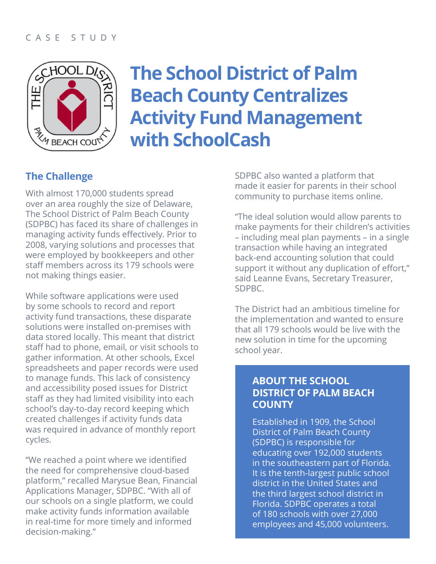

# **The School District of Palm Beach County Centralizes Activity Fund Management with SchoolCash**

#### **The Challenge**

With almost 170,000 students spread over an area roughly the size of Delaware, The School District of Palm Beach County (SDPBC) has faced its share of challenges in managing activity funds effectively. Prior to 2008, varying solutions and processes that were employed by bookkeepers and other staff members across its 179 schools were not making things easier.

While software applications were used by some schools to record and report activity fund transactions, these disparate solutions were installed on-premises with data stored locally. This meant that district staff had to phone, email, or visit schools to gather information. At other schools, Excel spreadsheets and paper records were used to manage funds. This lack of consistency and accessibility posed issues for District staff as they had limited visibility into each school's day-to-day record keeping which created challenges if activity funds data was required in advance of monthly report cycles.

"We reached a point where we identified the need for comprehensive cloud-based platform," recalled Marysue Bean, Financial Applications Manager, SDPBC. "With all of our schools on a single platform, we could make activity funds information available in real-time for more timely and informed decision-making."

SDPBC also wanted a platform that made it easier for parents in their school community to purchase items online.

"The ideal solution would allow parents to make payments for their children's activities – including meal plan payments – in a single transaction while having an integrated back-end accounting solution that could support it without any duplication of effort," said Leanne Evans, Secretary Treasurer, SDPBC.

The District had an ambitious timeline for the implementation and wanted to ensure that all 179 schools would be live with the new solution in time for the upcoming school year.

#### **ABOUT THE SCHOOL DISTRICT OF PALM BEACH COUNTY**

Established in 1909, the School District of Palm Beach County (SDPBC) is responsible for educating over 192,000 students in the southeastern part of Florida. It is the tenth-largest public school district in the United States and the third largest school district in Florida. SDPBC operates a total of 180 schools with over 27,000 employees and 45,000 volunteers.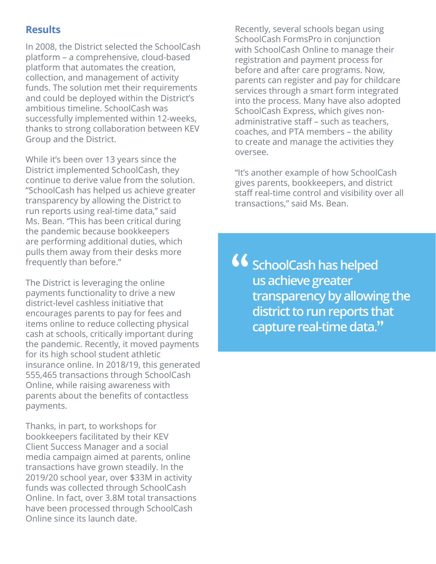#### **Results**

In 2008, the District selected the SchoolCash platform – a comprehensive, cloud-based platform that automates the creation, collection, and management of activity funds. The solution met their requirements and could be deployed within the District's ambitious timeline. SchoolCash was successfully implemented within 12-weeks, thanks to strong collaboration between KEV Group and the District.

While it's been over 13 years since the District implemented SchoolCash, they continue to derive value from the solution. "SchoolCash has helped us achieve greater transparency by allowing the District to run reports using real-time data," said Ms. Bean. "This has been critical during the pandemic because bookkeepers are performing additional duties, which pulls them away from their desks more frequently than before."

The District is leveraging the online payments functionality to drive a new district-level cashless initiative that encourages parents to pay for fees and items online to reduce collecting physical cash at schools, critically important during the pandemic. Recently, it moved payments for its high school student athletic insurance online. In 2018/19, this generated 555,465 transactions through SchoolCash Online, while raising awareness with parents about the benefits of contactless payments.

Thanks, in part, to workshops for bookkeepers facilitated by their KEV Client Success Manager and a social media campaign aimed at parents, online transactions have grown steadily. In the 2019/20 school year, over \$33M in activity funds was collected through SchoolCash Online. In fact, over 3.8M total transactions have been processed through SchoolCash Online since its launch date.

Recently, several schools began using SchoolCash FormsPro in conjunction with SchoolCash Online to manage their registration and payment process for before and after care programs. Now, parents can register and pay for childcare services through a smart form integrated into the process. Many have also adopted SchoolCash Express, which gives nonadministrative staff – such as teachers, coaches, and PTA members – the ability to create and manage the activities they oversee.

"It's another example of how SchoolCash gives parents, bookkeepers, and district staff real-time control and visibility over all transactions," said Ms. Bean.

**SchoolCash has helped us achieve greater transparency by allowing the district to run reports that capture real-time data.**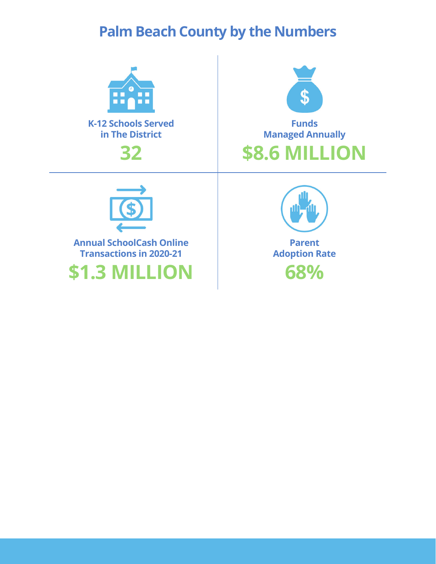### **Palm Beach County by the Numbers**







**Annual SchoolCash Online Transactions in 2020-21**